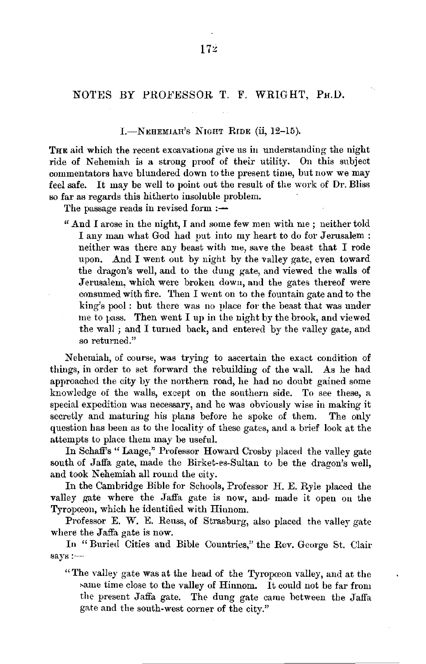## NOTES BY PROFESSOR T. F. WRIGHT, PH.D.

### I.-NEHEMJAH's NIGHT RIDE (ii, 12-15).

THE aid which the recent excavations give us in understanding the night ride of Nehemiah is a strong proof of their utility. On this subject commentators have blundered down to the present time, but now we may feel safe. It may be well to point out the result of the work of Dr. Bliss so far as regards this hitherto insoluble problem.

The passage reads in revised form  $:=$ 

" And I arose in the night, I and some few men with me ; neither told I any man what God had put into my heart to do for Jerusalem : neither was there any beast with me, save the beast that I rode upon. And I went out by night by the valley gate, even toward the dragon's well, and to the dung gate, and viewed the walls of Jerusalem, which were broken down, and the gates thereof were consumed with fire. Then I went on to the fountain gate and to the king's pool : but there was no place for the beast that was under me to  $p$ ass. Then went I up in the night by the brook, and viewed the wall ; and I turned back, and entered by the valley gate, and so returned."

Nehemiah, of course, was trying to ascertain the exact condition of things, in order to set forward the rebuilding of the wall. As he had approached the city by the northern road, he had no doubt gained some knowledge of the walls, except on the southern side. To see these, a special expedition was necessary, and he was obviously wise in making it secretly and maturing his plans before he spoke of them. The only question has been as to the locality of these gates, and a brief look at the attempts to place them may be useful.

In Schaff's " Lange," Professor Howard Crosby placed the valley gate south of Jaffa gate, made the Birket-es-Sultan to be the dragon's well, and took Nehemiah all round the city.

In the Cambridge Bible for Schools, Professor H. E. Ryle placed the valley gate where the Jaffa gate is now, and made it open on the Tyropœon, which he identified with Hiunom.

Professor E. W. E. Reuss, of Strasburg, also placed the valley gate where the Jaffa gate is now.

In " Buried Cities and Bible Countries," the Rev. George St. Clair says:-

" The valley gate was at the head of the Tyropceon valley, and at the same time close to the valley of Hinnom. It could not be far from the present Jaffa gate. The dung gate came between the Jaffa gate and the south-west corner of the city."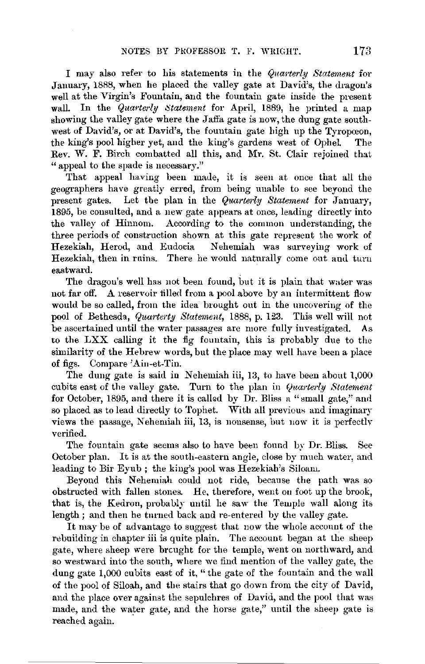I may also refer to his statements in the *Qnai-terly Statement* for January, 1888, when he placed the valley gate at David's, the dragon's well at the Virgin's Fountain, and the fountain gate inside the present<br>wall. In the *Quarterly Statement* for April 1889, he printed a map In the *Quarterly Statement* for April, 1889, he printed a map showing the valley gate where the Jaffa gate is now, the dung gate southwest of David's, or at David's, the fountain gate high up the Tyropœon, the king's pool higher vet, and the king's gardens west of Ophel. The the king's pool higher yet, and the king's gardens west of Ophel. Rev. **W. F.** Birch combatted all this, and Mr. St. Clair rejoined that "appeal to the spade is necessary."

That appeal having been made, it is seen at once that all the geographers have greatly erred, from being unable to see beyond the present gates. Let the plan in the *Quarterly Statement* for January, 1895, be consulted, and a new gate appears at once, leading directly into the valley of Hinnom. According to the common understanding, the three periods of construction shown at this gate represent the work of Hezekiah, Herod, and Eudocia Nehemiah was surveying work of Nehemiah was surveying work of Hezekiah, then in rnins. There he would naturally come out and turn eastward.

The dragon's well has not been found, but it is plain that water was not far off. A reservoir tilled from a pool above by an intermittent flow would be so called, from the idea brought out in the uncovering of the pool of Bethesda, *Quarterty Statement,* 1888, p. 123. This well will not be ascertained until the water passages are more fully investigated. As to the LXX calling it the fig fountain, this is probably due to the similarity of the Hebrew words, but the place may well have been a place of figs. Compare 'Ain-et-Tin.

The dung gate is said in Nehemiah iii, 13, to have been about 1,000 cubits east of the valley gate. Turn to the plan in *Quarterly Statement* for October, 1895, and there it is called by Dr. Bliss a "small gate," and so placed as to lead directly to Tophet. With all previous and imaginary views the passage, Nehemiah iii, 13, is nonsense, but now it is perfectly verified.

The fountain gate seems also to have been found by Dr. Bliss. See October plan. It is at the south-eastern angle, close by much water, and leading to Bir Eyub; the king's pool was Hezekiah's Siloam.

Beyond this Nehemiah could not ride, because the path was so obstructed with fallen stones. He, therefore, weut 011 foot up the brook, that is, the Kedron, probably until he saw the Temple wall along its length ; and then he tnrned back and re-entered by the valley gate.

It may be of advantage to suggest that now the whole account of the rebuilding in chapter iii is quite plain. The account began at the sheep gate, where sheep were brought for the temple, went on northward, and so westward into the south, where we find mention of the valley gate, the dung gate 1,000 cubits east of it, "the gate of the fountain and the wall of the pool of Siloah, and the stairs that go down from the city of David, and the place over against the sepulchres of David, and the pool that was made, and the water gate, and the horse gate," until the sheep gate is reached again.